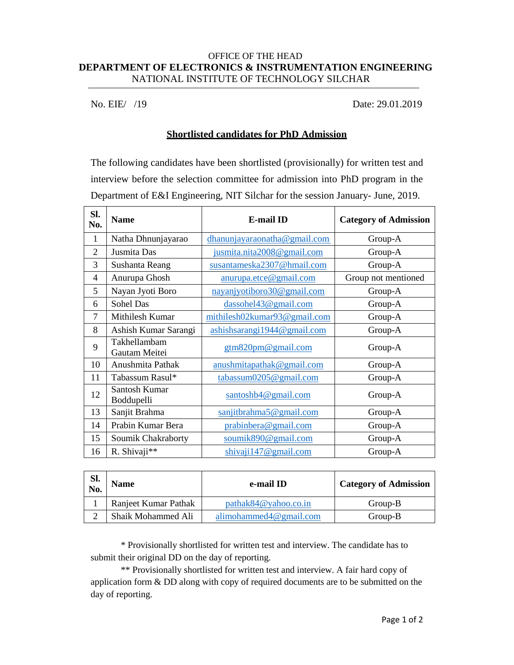## OFFICE OF THE HEAD **DEPARTMENT OF ELECTRONICS & INSTRUMENTATION ENGINEERING** NATIONAL INSTITUTE OF TECHNOLOGY SILCHAR

No. EIE/ /19 Date: 29.01.2019

## **Shortlisted candidates for PhD Admission**

The following candidates have been shortlisted (provisionally) for written test and interview before the selection committee for admission into PhD program in the Department of E&I Engineering, NIT Silchar for the session January- June, 2019.

| Sl.<br>No.     | <b>Name</b>                   | <b>E-mail ID</b>             | <b>Category of Admission</b> |
|----------------|-------------------------------|------------------------------|------------------------------|
| 1              | Natha Dhnunjayarao            | dhanunjayaraonatha@gmail.com | Group-A                      |
| $\overline{2}$ | Jusmita Das                   | jusmita.nita2008@gmail.com   | Group-A                      |
| 3              | Sushanta Reang                | susantameska2307@hmail.com   | Group-A                      |
| $\overline{4}$ | Anurupa Ghosh                 | anurupa.etce@gmail.com       | Group not mentioned          |
| 5              | Nayan Jyoti Boro              | nayanjyotiboro30@gmail.com   | Group-A                      |
| 6              | Sohel Das                     | dassohel43@gmail.com         | Group-A                      |
| $\overline{7}$ | Mithilesh Kumar               | mithilesh02kumar93@gmail.com | Group-A                      |
| 8              | Ashish Kumar Sarangi          | ashishsarangi1944@gmail.com  | Group-A                      |
| 9              | Takhellambam<br>Gautam Meitei | gtm820pm@gmail.com           | Group-A                      |
| 10             | Anushmita Pathak              | anushmitapathak@gmail.com    | Group-A                      |
| 11             | Tabassum Rasul*               | $\tt tabassum0205@gmail.com$ | Group-A                      |
| 12             | Santosh Kumar<br>Boddupelli   | santoshb4@gmail.com          | Group-A                      |
| 13             | Sanjit Brahma                 | saniithrahma5@gmail.com      | Group-A                      |
| 14             | Prabin Kumar Bera             | prabinbera@gmail.com         | Group-A                      |
| 15             | Soumik Chakraborty            | soumik890@gmail.com          | Group-A                      |
| 16             | R. Shivaji**                  | shivaji 147@gmail.com        | Group-A                      |

| SI.<br>No. | <b>Name</b>          | e-mail ID                  | <b>Category of Admission</b> |
|------------|----------------------|----------------------------|------------------------------|
|            | Ranjeet Kumar Pathak | $patha\&84@yahoo.co.in$    | Group-B                      |
|            | Shaik Mohammed Ali   | alimohammed $4@$ gmail.com | Group-B                      |

\* Provisionally shortlisted for written test and interview. The candidate has to submit their original DD on the day of reporting.

\*\* Provisionally shortlisted for written test and interview. A fair hard copy of application form & DD along with copy of required documents are to be submitted on the day of reporting.